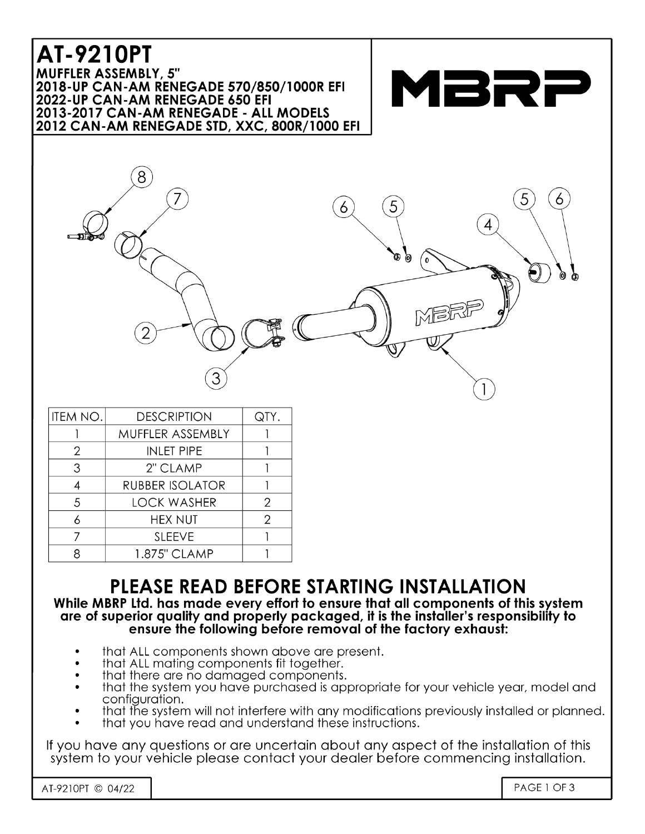## **AT-9210PT MUFFLER ASSEMBLY, 5"** 2018-UP CAN-AM RENEGADE 570/850/1000R EFI 2022-UP CAN-AM RENEGADE 650 EFI 2013-2017 CAN-AM RENEGADE - ALL MODELS 2012 CAN-AM RENEGADE STD, XXC, 800R/1000 EFI



MBR

| DESCRIPIION            | QIY.           |
|------------------------|----------------|
| MUFFLER ASSEMBLY       |                |
| <b>INLET PIPE</b>      |                |
| 2" CLAMP               |                |
| <b>RUBBER ISOLATOR</b> |                |
| <b>LOCK WASHER</b>     | 2              |
| <b>HEX NUT</b>         | $\overline{2}$ |
| <b>SLEEVE</b>          |                |
| 1.875" CLAMP           |                |
|                        |                |

## PLEASE READ BEFORE STARTING INSTALLATION

## While MBRP Ltd. has made every effort to ensure that all components of this system are of superior quality and properly packaged, it is the installer's responsibility to ensure the following before removal of the factory exhaust:

- that ALL components shown above are present.
- that ALL mating components fit together.
- that there are no damaged components.
- that the system you have purchased is appropriate for your vehicle year, model and configuration.
- that the system will not interfere with any modifications previously installed or planned.
- that you have read and understand these instructions.

If you have any questions or are uncertain about any aspect of the installation of this system to your vehicle please contact your dealer before commencing installation.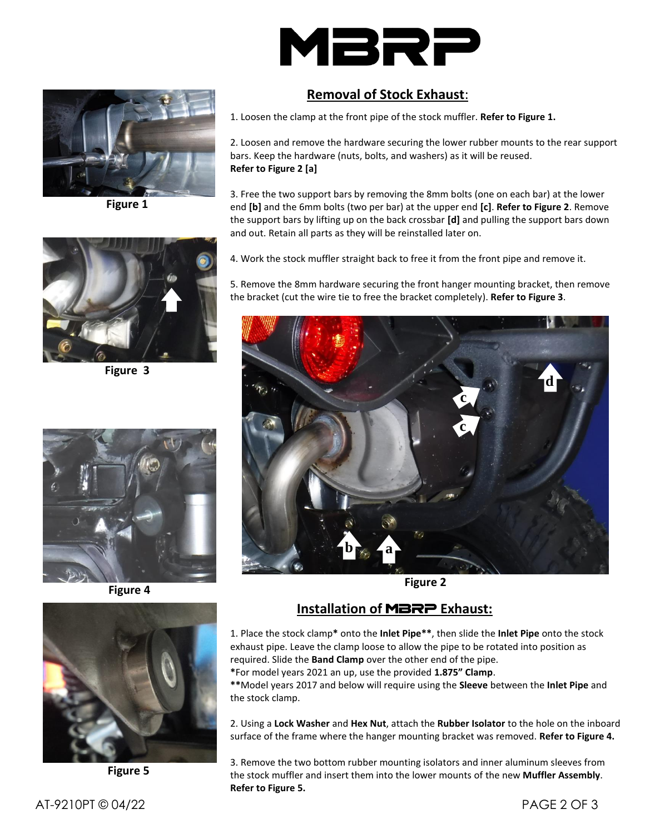



**Figure 1**



**Figure 3**



 **Figure 4**



**Figure 5**

1. Loosen the clamp at the front pipe of the stock muffler. **Refer to Figure 1.**

2. Loosen and remove the hardware securing the lower rubber mounts to the rear support bars. Keep the hardware (nuts, bolts, and washers) as it will be reused. **Refer to Figure 2 [a]**

3. Free the two support bars by removing the 8mm bolts (one on each bar) at the lower end **[b]** and the 6mm bolts (two per bar) at the upper end **[c]**. **Refer to Figure 2**. Remove the support bars by lifting up on the back crossbar **[d]** and pulling the support bars down and out. Retain all parts as they will be reinstalled later on.

4. Work the stock muffler straight back to free it from the front pipe and remove it.

5. Remove the 8mm hardware securing the front hanger mounting bracket, then remove the bracket (cut the wire tie to free the bracket completely). **Refer to Figure 3**.



**Figure 2**

## **Installation of** MBRP **Exhaust:**

1. Place the stock clamp**\*** onto the **Inlet Pipe\*\***, then slide the **Inlet Pipe** onto the stock exhaust pipe. Leave the clamp loose to allow the pipe to be rotated into position as required. Slide the **Band Clamp** over the other end of the pipe. **\***For model years 2021 an up, use the provided **1.875" Clamp**.

**\*\***Model years 2017 and below will require using the **Sleeve** between the **Inlet Pipe** and the stock clamp.

2. Using a **Lock Washer** and **Hex Nut**, attach the **Rubber Isolator** to the hole on the inboard surface of the frame where the hanger mounting bracket was removed. **Refer to Figure 4.**

3. Remove the two bottom rubber mounting isolators and inner aluminum sleeves from the stock muffler and insert them into the lower mounts of the new **Muffler Assembly**. **Refer to Figure 5.**